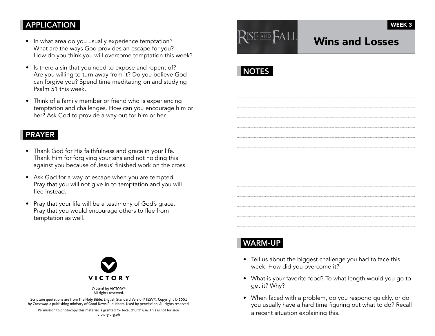### **APPLICATION**

- In what area do you usually experience temptation? What are the ways God provides an escape for you? How do you think you will overcome temptation this week?
- Is there a sin that you need to expose and repent of? Are you willing to turn away from it? Do you believe God can forgive you? Spend time meditating on and studying Psalm 51 this week.
- Think of a family member or friend who is experiencing temptation and challenges. How can you encourage him or her? Ask God to provide a way out for him or her.

#### PRAYER

- Thank God for His faithfulness and grace in your life. Thank Him for forgiving your sins and not holding this against you because of Jesus' finished work on the cross.
- Ask God for a way of escape when you are tempted. Pray that you will not give in to temptation and you will flee instead.
- Pray that your life will be a testimony of God's grace. Pray that you would encourage others to flee from temptation as well.



© 2016 by VICTORY® All rights reserved.

Scripture quotations are from The Holy Bible, English Standard Version® (ESV®), Copyright © 2001 by Crossway, a publishing ministry of Good News Publishers. Used by permission. All rights reserved.

Permission to photocopy this material is granted for local church use. This is not for sale. victory.org.ph



# Wins and Losses

WEEK 3

# NOTES

## WARM-UP

- Tell us about the biggest challenge you had to face this week. How did you overcome it?
- What is your favorite food? To what length would you go to get it? Why?
- When faced with a problem, do you respond quickly, or do you usually have a hard time figuring out what to do? Recall a recent situation explaining this.